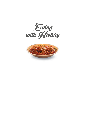

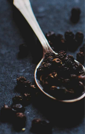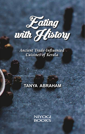

*Ancient Trade-Influenced Cuisines of Kerala*

### **TANYA ABRAHAM**

**NIYOGI BOOKS**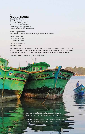#### Published by **NIYOGI BOOKS**

Block D, Building No. 77 Okhla Industrial Area, Phase-I New Delhi-110 020, INDIA Tel: 91-11-26816301, 26818960 Email: niyogibooks@gmail.com Website: www.niyogibooksindia.com

Text © Tanya Abraham Photographs © Author, and as acknowledged for individual sources

Editor: Mohua Mitra Design: Nabanita Das Cover Design: Author

ISBN: 978-93-89136-26-5 Publication: 2020

All rights are reserved. No part of this publication may be reproduced or transmitted in any form or by any means, electronic or mechanical, including photocopying, recording or by any information storage and retrieval system without prior written permission and consent of the publisher.

Printed at: Niyogi Offset Pvt. Ltd., New Delhi, India

Domestic fishing boats in Kochi now dock where once anchored large canoes that carried spices for trade

**Pg 2-3:** Whole black pepper, widely grown in Kerala, is an important ingredient in the region's ethnic cuisine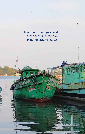In memory of my grandmother, Annie Burleigh Kurishingal. To my mother, for soul food

12.575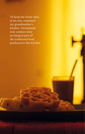To keep the home alive, at its core, remained my grandmother's kitchen. Homemade rose cookies were an integral part of the traditional food produced in this kitchen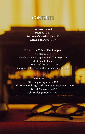### CONTENTS

**Foreword**  $\approx 09$ **Preface**  $\sqrt{11}$ Ammama's Kusinchya  $\approx$  13 **Kerala and Food**  $\approx 19$ 

### **Way to the Table: The Recipes**

Vegetables  $\approx$  51 Breads, Rice and Appams with Chutneys  $\approx 61$ Meats and Fish  $\approx 81$ Sweets and Desserts  $\approx 163$ Squashes and Wines (with a dash of spice)  $\approx$  193

 $T$ **imeline**  $\approx 199$ **Glossary of Spices**  $\approx$  199 **Traditional Cooking Tools (in Kerala Kitchens)**  $\approx$  **200 Table of Measures**  $\approx 201$ Acknowledgements  $\approx$  203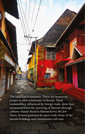The food trail is extensive. There are numerous recipes in each community in Kerala. These communities, influenced by foreign trade, drew their uniqueness from the marrying of flavours through cultures. Bazaar Road in Mattancherry, the Jew Town, housed godowns for spice trade.Many of the ancient buildings and communities still exist

THE REAL PROPERTY OF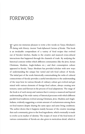### FOREWORD

I t gives me immense pleasure to write a few words on Tanya Abraham's<br>Eating with History: Ancient Trade-Influenced Cuisines of Kerala. This book *Eating with History: Ancient Trade-Influenced Cuisines of Kerala*. This book is an invaluable compendium of a variety of food recipes that evolved out of Kerala's kitchen, thanks to the creative and nuanced cross-cultural interactions that happened through the channels of trade. By analysing the historical contexts within which different communities (like the Jews, Syrian Christians, Muslims, Anglo-Indians etc.,) and their consumption culture appeared in Kerala, Tanya Abraham has provided scholars with new ways of understanding the unique but varied and rich food culture of Kerala. The initial part of the work–historically contextualising the webs of cultural connectivities of Kerala–provides a useful introduction to the understanding of the ways how its various threads of culinary culture got evolved and got mixed with various elements of foreign food culture, always creating new textures, tastes and flavours in the process of local adaptations. The range of the book is of such sweep and vastness that it conveys a nuanced and layered understanding of the wide variety of historical processes with which different parallel food traditions evolved among Christians, Jews, Muslims and Anglo-Indians, evidently suggesting a certain amount of exclusiveness among them on food matters despite sharing the same space and same living conditions. The author shows that it happens mainly because of the creative meanings that each community gives to the food ingredients, which eventually is made to evolve as its marker of identity. The recipes of most of the food items of various communities of Kerala are also given in meticulous detail, which in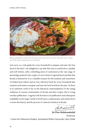

*Meen pollichathu cooked with the fresh catch of the day in Syrian Christian style, exudes one of the many unique flavours of Kerala*

turn serve as a rich guide for every household to prepare and taste the best food of the land. I am delighted to say that this easy-to-read book is valuable and well written, with a refreshing sense of excitement at the vast range of knowledge packed in the recipes of every kind of regional food and dish that Kerala is famous for. It is a valuable treasure for the students and researchers of Indian food culture and an easy reference book for every household that treasures and wants to prepare and taste the best food from the past. As there is no authentic work so far on the historical contextualisation of the eating traditions of various communities of Kerala and their recipes, this is a long overdue publication. I eagerly look forward to its publication and subsequent availability in the larger world of food lovers, academicians, and readers keen to learn the history and the process of cultural evolution in Kerala.

I Prostlantanol

Dr Pius Malekandathil Professor Centre for Historical Studies, Jawaharlal Nehru University, New Delhi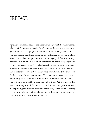## PREFACE

This book is in honour of the creativity and work of the many women<br>in kitchens across Kerala, for cherishing the recipes passed down in kitchens across Kerala, for cherishing the recipes passed down generations and bringing heart to homes. In my three years of study, it was understood that these communities, influenced by foreign trade in Kerala, drew their uniqueness from the marrying of flavours through cultures. It is assumed that in an otherwise predominantly vegetarian region, a variety of meats, fish and other seafood rose to become dominant foods at a later stage, curried to life from outside influences. The food trail is extensive, and I believe I may have only skimmed the surface of the food trove of these communities. There are numerous recipes in each community, each conjured up by women in families across Kerala; it was not however possible to document all of them. Yet, the journey has been rewarding in multifarious ways: to all those who spent time with me explaining the nuances of their kitchen fare, all the while collecting recipes from relatives and friends, and for the hospitality that brought to the conversations flavours new, thank you.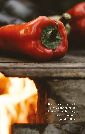Between stone jars of pickles, the smell of firewood and burning coal...stood my grandmother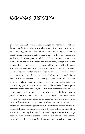# AMMAMA'S KUSINCHYA

**If** grew up in a small town in Kerala, in a big *tarawad*<sup>1</sup> that housed not only our large family but also the town happenings. It was a wondrous home, our large family but also the town happenings. It was a wondrous home, which has, for generations, been the backbone of our family; like a melting pot of various condiments that provided a variety of flavours to those who lived in it. There was politics and the freedom movement. There were rooms, which housed nationalists and businessmen, foreign visitors and missionaries. It remained an open house, with a family, which decreased in size as members left for business or higher education, and increased as distant relatives visited and stayed for months. There were so many people at a given time that it never seemed a home to one single family alone. Instead it housed an eclectic energy that came from the lives of the many who walked in and out its doors. To keep the home alive, at its core, remained my grandmother's kitchen. We called it *kusinchya<sup>2</sup>*, a Portuguese derivative of the word 'kitchen', and it was from ammama's<sup>3</sup> kusinchya that the main artery ran to nourish the soul of the household. Between stone jars of pickles, the smell of firewood and burning coal, and the chatter of servants stood my grandmother in her customary *chatta* and *mundu*<sup>4</sup> , the traditional attire prescribed to Kerala Catholic women. What started as virgin white every morning yellowed as the hours in the kitchen clocked by, the smell of masala clinging generously to the cotton of her clothing. There was so much cooking all at once that it was strange that never was a recipe book ever visible with her, except a copy of the first edition of Mrs Beaton's cookbook, gifted to her by an English acquaintance, which was once in a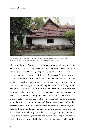

Lawns were decorated with fairy lights during parties. A shamiana was set up in the *backyard to serve as the temporary kitchen of the Kurishingal tarawad*

while read through. And she never followed anyone's cooking instructions either. She had an uncanny knack of producing flavours even before the pot was on the fire. Throwing in ingredients from her well-stocked kitchen, everyday saw an exciting array of dishes at the *unnumuri*<sup>5</sup> *,* the dining room that sat on either side of the courtyard of the two-hundred-and-fifty-yearold house. I used to often wonder if her entourage of servants was ever a sufficient hand to support her in fulfilling the needs of the family. Whilst one wanted a fiery fish curry with rice for lunch, the other preferred pork and chicken, with vegetables to accompany. Her husband and the head of the household, my grandfather whom I fondly remember, had a simple palate who preferred dishes less spiced, and was often satisfied with a bowl of clear soup or *kanji* and fish roe curry. Between him, her unmarried brothers-in-law, four sons, their wives and a battalion of grandchildren, Mrs Annie Burleigh, as she was known outside the family, had a grand task to fulfill every day. Whenever I stopped by the *kusinchya* to satisfy my curious young mind, she would, over a steaming vessel, narrate stories of how as a young bride she cooked for my great-grandfather (her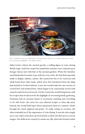

*Over steaming vessels, grandmother narrated stories of how as a young bride she cooked for my great-grandfather—her father-in-law*

father-in-law) whom she revered greatly, a stalling figure in town during British reign. And how recipes for sandwiches and pies were conjured up as foreign visitors met with him at the *tarawad* gardens. When few Keralites used handcrafted wooden trays with lace tray cloth, she had them specially made to display culinary culture. She trained her kin to be courteous and relish foods from other lands, which were first introduced from the ships that docked at Cochin Harbour. Later, she would make her own version of corned beef and smoked ham, which began to be customarily served with a punch made from local arrack. On her travels she would bring home with her recipes that would soon be the highlight of an evening family gathering. Ammama had an uncanny knack to accentuate anything and everything to do with food—she never for once allowed recipes or ideas slip away. Instead, she would build upon them and present them in a manner, which brought her much applaud and praise. To make eating an occasion, she often reminded us of the importance of wise dining. It was she who taught me to use cutlery and chew my food slowly to allow the flavours to coat my tongue. Her skills never cease[d] to amaze me, like when she formed cutlets